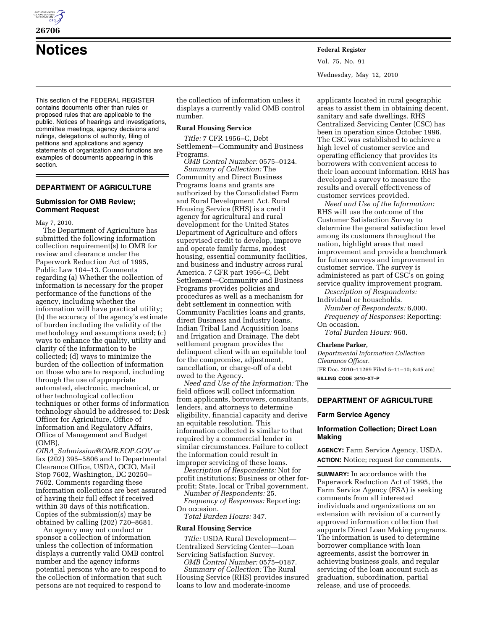

**26706** 

**Notices Federal Register**

This section of the FEDERAL REGISTER contains documents other than rules or proposed rules that are applicable to the public. Notices of hearings and investigations, committee meetings, agency decisions and rulings, delegations of authority, filing of petitions and applications and agency statements of organization and functions are examples of documents appearing in this section.

## **DEPARTMENT OF AGRICULTURE**

### **Submission for OMB Review; Comment Request**

May 7, 2010.

The Department of Agriculture has submitted the following information collection requirement(s) to OMB for review and clearance under the Paperwork Reduction Act of 1995, Public Law 104–13. Comments regarding (a) Whether the collection of information is necessary for the proper performance of the functions of the agency, including whether the information will have practical utility; (b) the accuracy of the agency's estimate of burden including the validity of the methodology and assumptions used; (c) ways to enhance the quality, utility and clarity of the information to be collected; (d) ways to minimize the burden of the collection of information on those who are to respond, including through the use of appropriate automated, electronic, mechanical, or other technological collection techniques or other forms of information technology should be addressed to: Desk Officer for Agriculture, Office of Information and Regulatory Affairs, Office of Management and Budget (OMB),

*OIRA*\_*Submission@OMB.EOP.GOV* or fax (202) 395–5806 and to Departmental Clearance Office, USDA, OCIO, Mail Stop 7602, Washington, DC 20250– 7602. Comments regarding these information collections are best assured of having their full effect if received within 30 days of this notification. Copies of the submission(s) may be obtained by calling (202) 720–8681.

An agency may not conduct or sponsor a collection of information unless the collection of information displays a currently valid OMB control number and the agency informs potential persons who are to respond to the collection of information that such persons are not required to respond to

the collection of information unless it displays a currently valid OMB control number.

#### **Rural Housing Service**

*Title:* 7 CFR 1956–C, Debt Settlement—Community and Business Programs.

*OMB Control Number:* 0575–0124. *Summary of Collection:* The Community and Direct Business Programs loans and grants are authorized by the Consolidated Farm and Rural Development Act. Rural Housing Service (RHS) is a credit agency for agricultural and rural development for the United States Department of Agriculture and offers supervised credit to develop, improve and operate family farms, modest housing, essential community facilities, and business and industry across rural America. 7 CFR part 1956–C, Debt Settlement—Community and Business Programs provides policies and procedures as well as a mechanism for debt settlement in connection with Community Facilities loans and grants, direct Business and Industry loans, Indian Tribal Land Acquisition loans and Irrigation and Drainage. The debt settlement program provides the delinquent client with an equitable tool for the compromise, adjustment, cancellation, or charge-off of a debt owed to the Agency.

*Need and Use of the Information:* The field offices will collect information from applicants, borrowers, consultants, lenders, and attorneys to determine eligibility, financial capacity and derive an equitable resolution. This information collected is similar to that required by a commercial lender in similar circumstances. Failure to collect the information could result in improper servicing of these loans.

*Description of Respondents:* Not for profit institutions; Business or other forprofit; State, local or Tribal government. *Number of Respondents:* 25.

*Frequency of Responses:* Reporting: On occasion.

*Total Burden Hours:* 347.

### **Rural Housing Service**

*Title:* USDA Rural Development— Centralized Servicing Center—Loan Servicing Satisfaction Survey.

*OMB Control Number:* 0575–0187. *Summary of Collection:* The Rural Housing Service (RHS) provides insured loans to low and moderate-income

applicants located in rural geographic areas to assist them in obtaining decent, sanitary and safe dwellings. RHS Centralized Servicing Center (CSC) has been in operation since October 1996. The CSC was established to achieve a high level of customer service and operating efficiency that provides its borrowers with convenient access to their loan account information. RHS has developed a survey to measure the results and overall effectiveness of customer services provided.

*Need and Use of the Information:*  RHS will use the outcome of the Customer Satisfaction Survey to determine the general satisfaction level among its customers throughout the nation, highlight areas that need improvement and provide a benchmark for future surveys and improvement in customer service. The survey is administered as part of CSC's on going service quality improvement program.

*Description of Respondents:*  Individual or households.

*Number of Respondents:* 6,000. *Frequency of Responses:* Reporting:

On occasion.

*Total Burden Hours:* 960.

## **Charlene Parker,**

*Departmental Information Collection Clearance Officer.*  [FR Doc. 2010–11269 Filed 5–11–10; 8:45 am]

**BILLING CODE 3410–XT–P** 

#### **DEPARTMENT OF AGRICULTURE**

#### **Farm Service Agency**

## **Information Collection; Direct Loan Making**

**AGENCY:** Farm Service Agency, USDA. **ACTION:** Notice; request for comments.

**SUMMARY:** In accordance with the Paperwork Reduction Act of 1995, the Farm Service Agency (FSA) is seeking comments from all interested individuals and organizations on an extension with revision of a currently approved information collection that supports Direct Loan Making programs. The information is used to determine borrower compliance with loan agreements, assist the borrower in achieving business goals, and regular servicing of the loan account such as graduation, subordination, partial release, and use of proceeds.